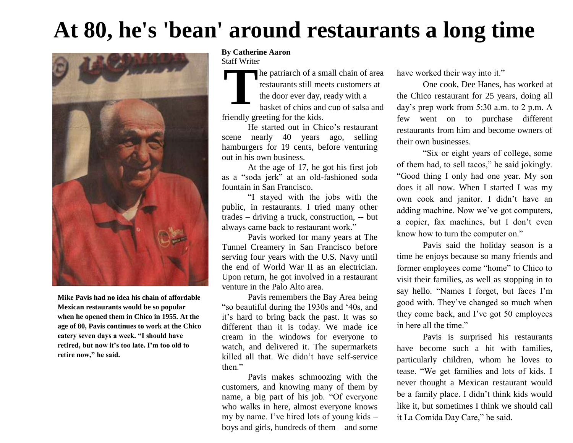# **At 80, he's 'bean' around restaurants a long time**



**Mike Pavis had no idea his chain of affordable Mexican restaurants would be so popular when he opened them in Chico in 1955. At the age of 80, Pavis continues to work at the Chico eatery seven days a week. "I should have retired, but now it's too late. I'm too old to retire now," he said.**

#### **By Catherine Aaron** Staff Writer

**T** he patriarch of a small chain of area restaurants still meets customers at the door ever day, ready with a

basket of chips and cup of salsa and friendly greeting for the kids.

He started out in Chico's restaurant scene nearly 40 years ago, selling hamburgers for 19 cents, before venturing out in his own business.

At the age of 17, he got his first job as a "soda jerk" at an old-fashioned soda fountain in San Francisco.

"I stayed with the jobs with the public, in restaurants. I tried many other trades – driving a truck, construction, -- but always came back to restaurant work."

Pavis worked for many years at The Tunnel Creamery in San Francisco before serving four years with the U.S. Navy until the end of World War II as an electrician. Upon return, he got involved in a restaurant venture in the Palo Alto area.

Pavis remembers the Bay Area being "so beautiful during the 1930s and "40s, and it"s hard to bring back the past. It was so different than it is today. We made ice cream in the windows for everyone to watch, and delivered it. The supermarkets killed all that. We didn"t have self-service then."

Pavis makes schmoozing with the customers, and knowing many of them by name, a big part of his job. "Of everyone who walks in here, almost everyone knows my by name. I've hired lots of young kids – boys and girls, hundreds of them – and some

have worked their way into it."

One cook, Dee Hanes, has worked at the Chico restaurant for 25 years, doing all day"s prep work from 5:30 a.m. to 2 p.m. A few went on to purchase different restaurants from him and become owners of their own businesses.

"Six or eight years of college, some of them had, to sell tacos," he said jokingly. "Good thing I only had one year. My son does it all now. When I started I was my own cook and janitor. I didn"t have an adding machine. Now we"ve got computers, a copier, fax machines, but I don"t even know how to turn the computer on."

Pavis said the holiday season is a time he enjoys because so many friends and former employees come "home" to Chico to visit their families, as well as stopping in to say hello. "Names I forget, but faces I"m good with. They"ve changed so much when they come back, and I"ve got 50 employees in here all the time."

Pavis is surprised his restaurants have become such a hit with families, particularly children, whom he loves to tease. "We get families and lots of kids. I never thought a Mexican restaurant would be a family place. I didn"t think kids would like it, but sometimes I think we should call it La Comida Day Care," he said.